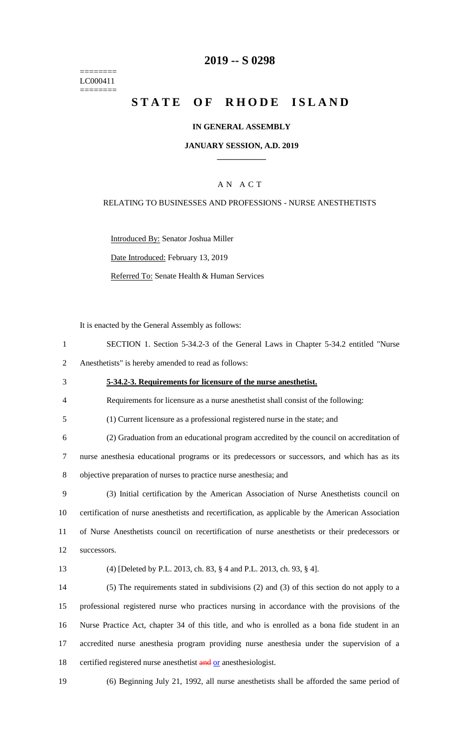======== LC000411 ========

## **2019 -- S 0298**

# STATE OF RHODE ISLAND

### **IN GENERAL ASSEMBLY**

#### **JANUARY SESSION, A.D. 2019 \_\_\_\_\_\_\_\_\_\_\_\_**

### A N A C T

### RELATING TO BUSINESSES AND PROFESSIONS - NURSE ANESTHETISTS

Introduced By: Senator Joshua Miller Date Introduced: February 13, 2019

Referred To: Senate Health & Human Services

It is enacted by the General Assembly as follows:

| SECTION 1. Section 5-34.2-3 of the General Laws in Chapter 5-34.2 entitled "Nurse" |  |  |  |  |  |
|------------------------------------------------------------------------------------|--|--|--|--|--|
|                                                                                    |  |  |  |  |  |

2 Anesthetists" is hereby amended to read as follows:

## 3 **5-34.2-3. Requirements for licensure of the nurse anesthetist.**

4 Requirements for licensure as a nurse anesthetist shall consist of the following:

5 (1) Current licensure as a professional registered nurse in the state; and

6 (2) Graduation from an educational program accredited by the council on accreditation of 7 nurse anesthesia educational programs or its predecessors or successors, and which has as its 8 objective preparation of nurses to practice nurse anesthesia; and

 (3) Initial certification by the American Association of Nurse Anesthetists council on certification of nurse anesthetists and recertification, as applicable by the American Association of Nurse Anesthetists council on recertification of nurse anesthetists or their predecessors or successors.

#### 13 (4) [Deleted by P.L. 2013, ch. 83, § 4 and P.L. 2013, ch. 93, § 4].

 (5) The requirements stated in subdivisions (2) and (3) of this section do not apply to a professional registered nurse who practices nursing in accordance with the provisions of the Nurse Practice Act, chapter 34 of this title, and who is enrolled as a bona fide student in an accredited nurse anesthesia program providing nurse anesthesia under the supervision of a 18 certified registered nurse anesthetist and or anesthesiologist.

19 (6) Beginning July 21, 1992, all nurse anesthetists shall be afforded the same period of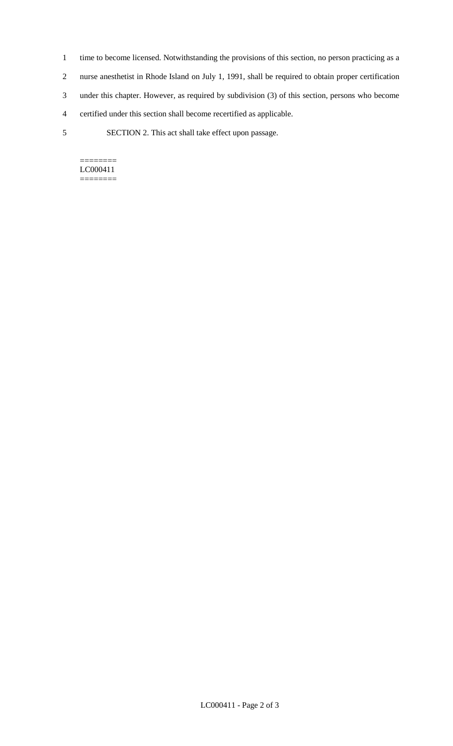- 1 time to become licensed. Notwithstanding the provisions of this section, no person practicing as a
- 2 nurse anesthetist in Rhode Island on July 1, 1991, shall be required to obtain proper certification
- 3 under this chapter. However, as required by subdivision (3) of this section, persons who become
- 4 certified under this section shall become recertified as applicable.
- 5 SECTION 2. This act shall take effect upon passage.

 $=$ LC000411 ========